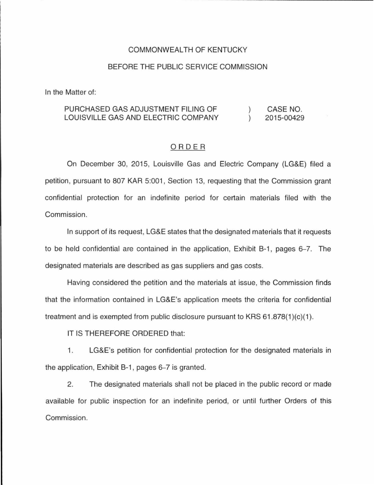## COMMONWEAL TH OF KENTUCKY

### BEFORE THE PUBLIC SERVICE COMMISSION

In the Matter of:

#### PURCHASED GAS ADJUSTMENT FILING OF CASE NO.  $\mathcal{L}$ LOUISVILLE GAS AND ELECTRIC COMPANY  $\lambda$ 2015-00429

## ORDER

On December 30, 2015, Louisville Gas and Electric Company (LG&E) filed a petition, pursuant to 807 KAR 5:001 , Section 13, requesting that the Commission grant confidential protection for an indefinite period for certain materials filed with the Commission.

In support of its request, LG&E states that the designated materials that it requests to be held confidential are contained in the application, Exhibit B-1, pages 6–7. The designated materials are described as gas suppliers and gas costs.

Having considered the petition and the materials at issue, the Commission finds that the information contained in LG&E's application meets the criteria for confidential treatment and is exempted from public disclosure pursuant to KRS  $61.878(1)(c)(1)$ .

IT IS THEREFORE ORDERED that:

1. LG&E's petition for confidential protection for the designated materials in the application, Exhibit B-1, pages 6–7 is granted.

2. The designated materials shall not be placed in the public record or made available for public inspection for an indefinite period, or until further Orders of this Commission.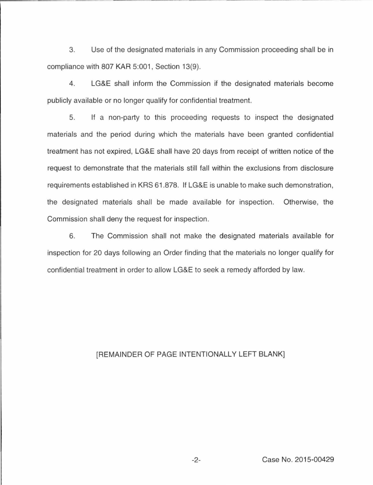3. Use of the designated materials in any Commission proceeding shall be in compliance with 807 KAR 5:001, Section 13(9).

4. LG&E shall inform the Commission if the designated materials become publicly available or no longer qualify for confidential treatment.

5. If a non-party to this proceeding requests to inspect the designated materials and the period during which the materials have been granted confidential treatment has not expired, LG&E shall have 20 days from receipt of written notice of the request to demonstrate that the materials still fall within the exclusions from disclosure requirements established in KRS 61.878. If LG&E is unable to make such demonstration, the designated materials shall be made available for inspection. Otherwise, the Commission shall deny the request for inspection.

6. The Commission shall not make the designated materials available for inspection for 20 days following an Order finding that the materials no longer qualify for confidential treatment in order to allow LG&E to seek a remedy afforded by law.

# [REMAINDER OF PAGE INTENTIONALLY LEFT BLANK]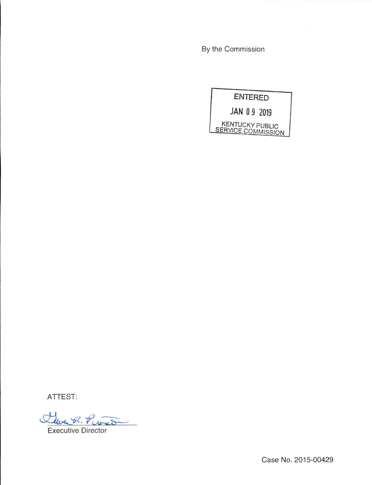By the Commission



ATTEST:

Clare R. Pito

Executive Director

Case No. 2015-00429